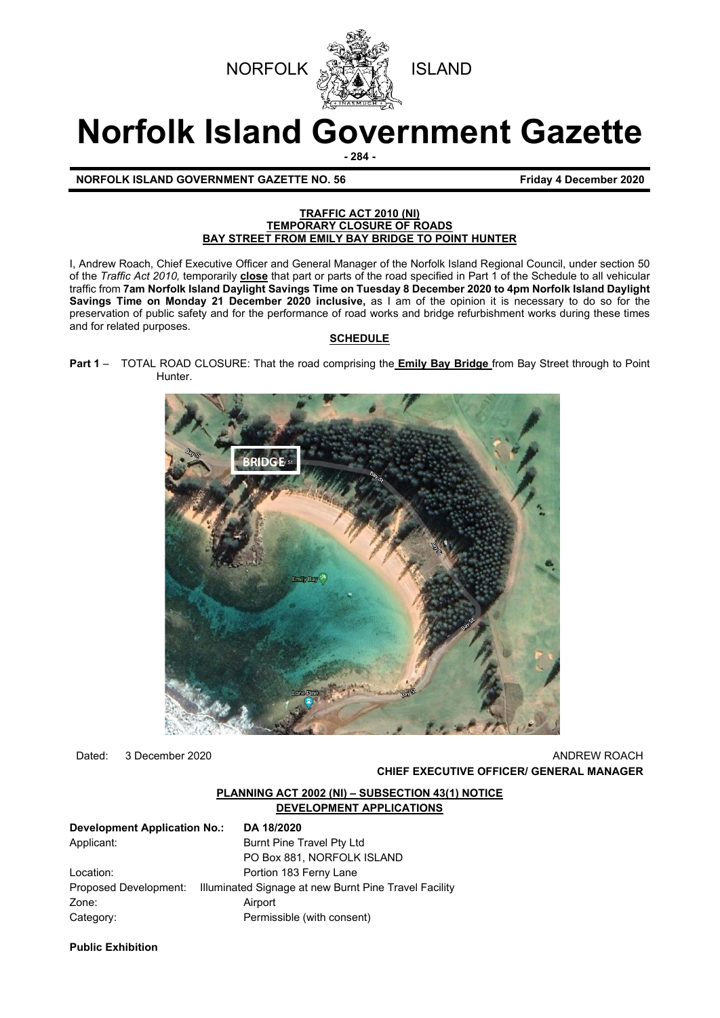



# **Norfolk Island Government Gazette**

**- 284 -**

# **NORFOLK ISLAND GOVERNMENT GAZETTE NO. 56 Friday 4 December 2020**

#### **TRAFFIC ACT 2010 (NI) TEMPORARY CLOSURE OF ROADS BAY STREET FROM EMILY BAY BRIDGE TO POINT HUNTER**

I, Andrew Roach, Chief Executive Officer and General Manager of the Norfolk Island Regional Council, under section 50 of the *Traffic Act 2010,* temporarily **close** that part or parts of the road specified in Part 1 of the Schedule to all vehicular traffic from **7am Norfolk Island Daylight Savings Time on Tuesday 8 December 2020 to 4pm Norfolk Island Daylight Savings Time on Monday 21 December 2020 inclusive,** as I am of the opinion it is necessary to do so for the preservation of public safety and for the performance of road works and bridge refurbishment works during these times and for related purposes.

#### **SCHEDULE**

**Part 1** – TOTAL ROAD CLOSURE: That the road comprising the **Emily Bay Bridge** from Bay Street through to Point Hunter.



Dated: 3 December 2020 ANDREW ROACH **CHIEF EXECUTIVE OFFICER/ GENERAL MANAGER**

#### **PLANNING ACT 2002 (NI) – SUBSECTION 43(1) NOTICE DEVELOPMENT APPLICATIONS**

| <b>Development Application No.:</b> | DA 18/2020                                            |
|-------------------------------------|-------------------------------------------------------|
| Applicant:                          | Burnt Pine Travel Pty Ltd                             |
|                                     | PO Box 881, NORFOLK ISLAND                            |
| Location:                           | Portion 183 Ferny Lane                                |
| Proposed Development:               | Illuminated Signage at new Burnt Pine Travel Facility |
| Zone:                               | Airport                                               |
| Category:                           | Permissible (with consent)                            |

**Public Exhibition**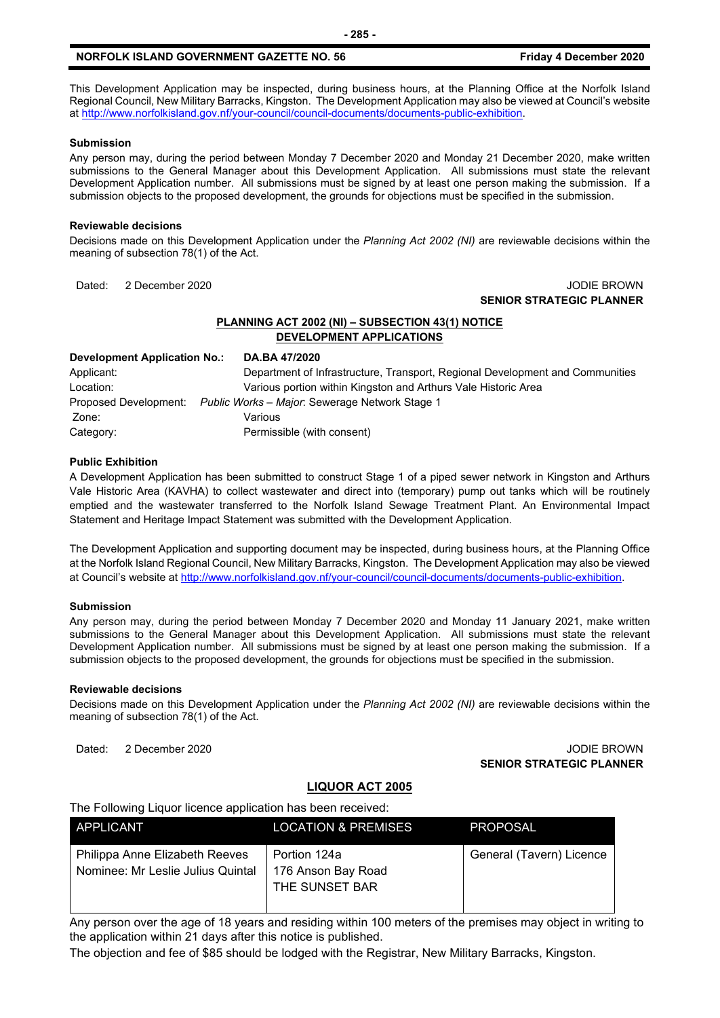This Development Application may be inspected, during business hours, at the Planning Office at the Norfolk Island Regional Council, New Military Barracks, Kingston. The Development Application may also be viewed at Council's website a[t http://www.norfolkisland.gov.nf/your-council/council-documents/documents-public-exhibition.](http://www.norfolkisland.gov.nf/your-council/council-documents/documents-public-exhibition)

#### **Submission**

Any person may, during the period between Monday 7 December 2020 and Monday 21 December 2020, make written submissions to the General Manager about this Development Application. All submissions must state the relevant Development Application number. All submissions must be signed by at least one person making the submission. If a submission objects to the proposed development, the grounds for objections must be specified in the submission.

#### **Reviewable decisions**

Decisions made on this Development Application under the *Planning Act 2002 (NI)* are reviewable decisions within the meaning of subsection 78(1) of the Act.

#### Dated: 2 December 2020 JODIE BROWN **SENIOR STRATEGIC PLANNER**

#### **PLANNING ACT 2002 (NI) – SUBSECTION 43(1) NOTICE DEVELOPMENT APPLICATIONS**

| Development Application No.: | DA.BA 47/2020                                                                 |
|------------------------------|-------------------------------------------------------------------------------|
| Applicant:                   | Department of Infrastructure, Transport, Regional Development and Communities |
| Location:                    | Various portion within Kingston and Arthurs Vale Historic Area                |
| Proposed Development:        | Public Works - Major: Sewerage Network Stage 1                                |
| Zone:                        | Various                                                                       |
| Category:                    | Permissible (with consent)                                                    |

#### **Public Exhibition**

A Development Application has been submitted to construct Stage 1 of a piped sewer network in Kingston and Arthurs Vale Historic Area (KAVHA) to collect wastewater and direct into (temporary) pump out tanks which will be routinely emptied and the wastewater transferred to the Norfolk Island Sewage Treatment Plant. An Environmental Impact Statement and Heritage Impact Statement was submitted with the Development Application.

The Development Application and supporting document may be inspected, during business hours, at the Planning Office at the Norfolk Island Regional Council, New Military Barracks, Kingston. The Development Application may also be viewed at Council's website a[t http://www.norfolkisland.gov.nf/your-council/council-documents/documents-public-exhibition.](http://www.norfolkisland.gov.nf/your-council/council-documents/documents-public-exhibition)

#### **Submission**

Any person may, during the period between Monday 7 December 2020 and Monday 11 January 2021, make written submissions to the General Manager about this Development Application. All submissions must state the relevant Development Application number. All submissions must be signed by at least one person making the submission. If a submission objects to the proposed development, the grounds for objections must be specified in the submission.

#### **Reviewable decisions**

Decisions made on this Development Application under the *Planning Act 2002 (NI)* are reviewable decisions within the meaning of subsection 78(1) of the Act.

#### Dated: 2 December 2020 JODIE BROWN **SENIOR STRATEGIC PLANNER**

#### **LIQUOR ACT 2005**

The Following Liquor licence application has been received:

| APPLICANT                                                           | <b>LOCATION &amp; PREMISES</b>                       | <b>PROPOSAL</b>          |
|---------------------------------------------------------------------|------------------------------------------------------|--------------------------|
| Philippa Anne Elizabeth Reeves<br>Nominee: Mr Leslie Julius Quintal | Portion 124a<br>176 Anson Bay Road<br>THE SUNSET BAR | General (Tavern) Licence |

Any person over the age of 18 years and residing within 100 meters of the premises may object in writing to the application within 21 days after this notice is published.

The objection and fee of \$85 should be lodged with the Registrar, New Military Barracks, Kingston.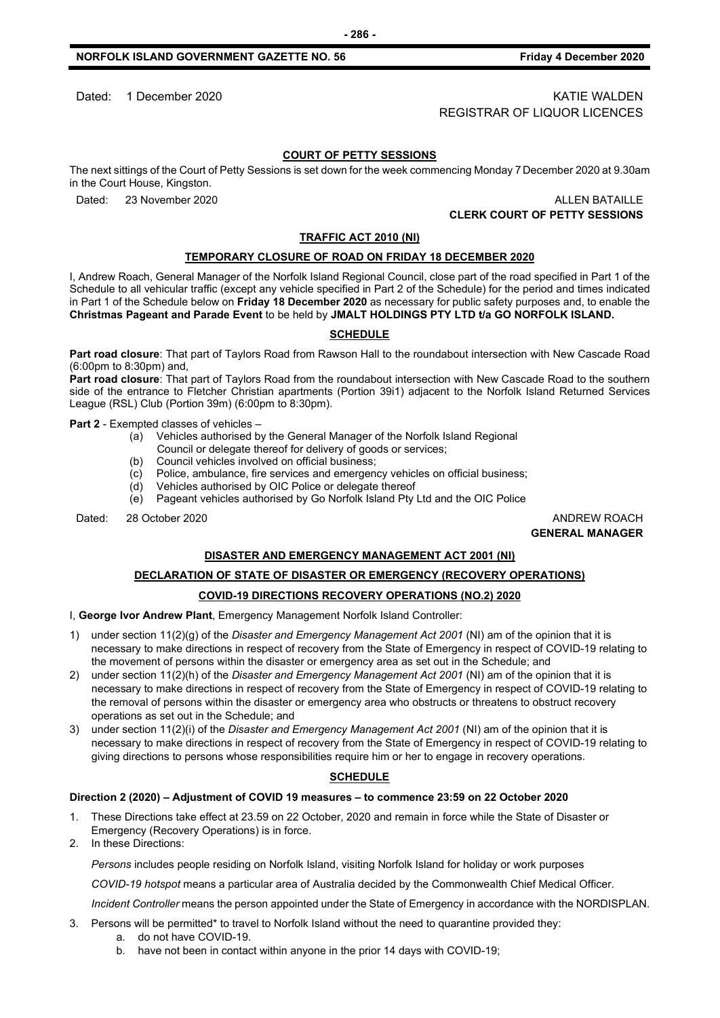### Dated: 1 December 2020 KATIE WALDEN REGISTRAR OF LIQUOR LICENCES

#### **COURT OF PETTY SESSIONS**

The next sittings of the Court of Petty Sessions is set down for the week commencing Monday 7 December 2020 at 9.30am in the Court House, Kingston.

Dated: 23 November 2020 ALLEN BATAILLE **CLERK COURT OF PETTY SESSIONS**

#### **TRAFFIC ACT 2010 (NI)**

#### **TEMPORARY CLOSURE OF ROAD ON FRIDAY 18 DECEMBER 2020**

I, Andrew Roach, General Manager of the Norfolk Island Regional Council, close part of the road specified in Part 1 of the Schedule to all vehicular traffic (except any vehicle specified in Part 2 of the Schedule) for the period and times indicated in Part 1 of the Schedule below on **Friday 18 December 2020** as necessary for public safety purposes and, to enable the **Christmas Pageant and Parade Event** to be held by **JMALT HOLDINGS PTY LTD t/a GO NORFOLK ISLAND.**

#### **SCHEDULE**

**Part road closure**: That part of Taylors Road from Rawson Hall to the roundabout intersection with New Cascade Road (6:00pm to 8:30pm) and,

**Part road closure**: That part of Taylors Road from the roundabout intersection with New Cascade Road to the southern side of the entrance to Fletcher Christian apartments (Portion 39i1) adjacent to the Norfolk Island Returned Services League (RSL) Club (Portion 39m) (6:00pm to 8:30pm).

**Part 2** - Exempted classes of vehicles –

- (a) Vehicles authorised by the General Manager of the Norfolk Island Regional
- Council or delegate thereof for delivery of goods or services;
- (b) Council vehicles involved on official business;
- (c) Police, ambulance, fire services and emergency vehicles on official business;
- Vehicles authorised by OIC Police or delegate thereof
- (e) Pageant vehicles authorised by Go Norfolk Island Pty Ltd and the OIC Police

Dated: 28 October 2020 **ANDREW ROACH CONSULTER STATES AND ANDREW ROACH** 

**GENERAL MANAGER**

#### **DISASTER AND EMERGENCY MANAGEMENT ACT 2001 (NI)**

# **DECLARATION OF STATE OF DISASTER OR EMERGENCY (RECOVERY OPERATIONS)**

# **COVID-19 DIRECTIONS RECOVERY OPERATIONS (NO.2) 2020**

I, **George Ivor Andrew Plant**, Emergency Management Norfolk Island Controller:

- 1) under section 11(2)(g) of the *Disaster and Emergency Management Act 2001* (NI) am of the opinion that it is necessary to make directions in respect of recovery from the State of Emergency in respect of COVID-19 relating to the movement of persons within the disaster or emergency area as set out in the Schedule; and
- 2) under section 11(2)(h) of the *Disaster and Emergency Management Act 2001* (NI) am of the opinion that it is necessary to make directions in respect of recovery from the State of Emergency in respect of COVID-19 relating to the removal of persons within the disaster or emergency area who obstructs or threatens to obstruct recovery operations as set out in the Schedule; and
- 3) under section 11(2)(i) of the *Disaster and Emergency Management Act 2001* (NI) am of the opinion that it is necessary to make directions in respect of recovery from the State of Emergency in respect of COVID-19 relating to giving directions to persons whose responsibilities require him or her to engage in recovery operations.

#### **SCHEDULE**

#### **Direction 2 (2020) – Adjustment of COVID 19 measures – to commence 23:59 on 22 October 2020**

- 1. These Directions take effect at 23.59 on 22 October, 2020 and remain in force while the State of Disaster or Emergency (Recovery Operations) is in force.
- 2. In these Directions:

*Persons* includes people residing on Norfolk Island, visiting Norfolk Island for holiday or work purposes

*COVID-19 hotspot* means a particular area of Australia decided by the Commonwealth Chief Medical Officer.

*Incident Controller* means the person appointed under the State of Emergency in accordance with the NORDISPLAN.

- 3. Persons will be permitted\* to travel to Norfolk Island without the need to quarantine provided they:
	- a. do not have COVID-19.
	- b. have not been in contact within anyone in the prior 14 days with COVID-19;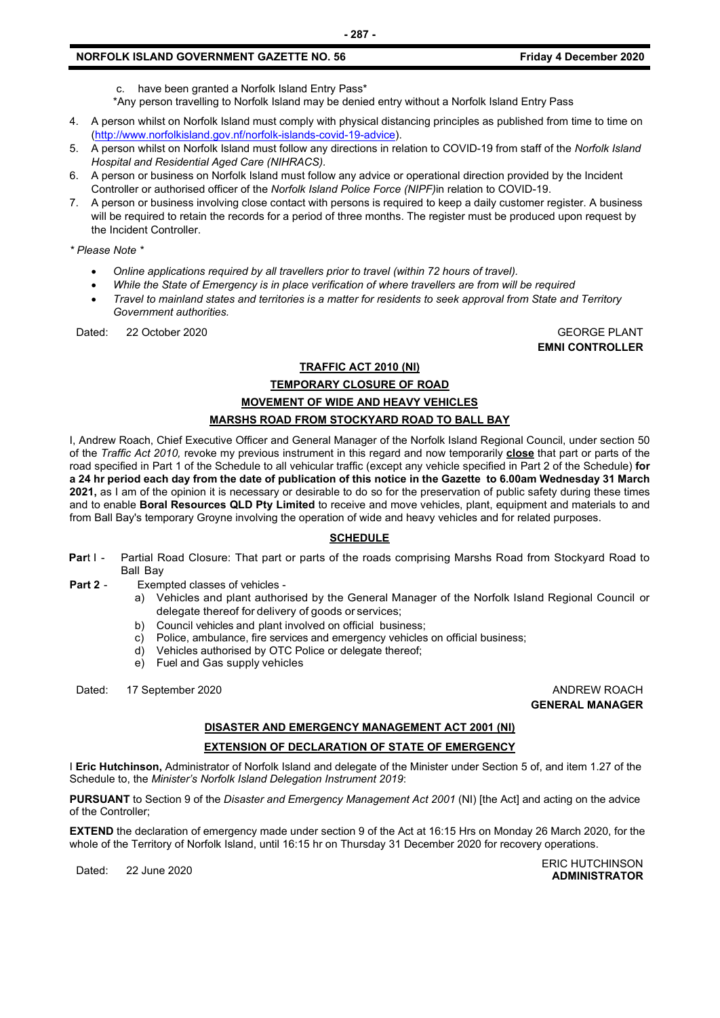- c. have been granted a Norfolk Island Entry Pass\*
- \*Any person travelling to Norfolk Island may be denied entry without a Norfolk Island Entry Pass
- 4. A person whilst on Norfolk Island must comply with physical distancing principles as published from time to time on [\(http://www.norfolkisland.gov.nf/norfolk-islands-covid-19-advice\)](http://www.norfolkisland.gov.nf/norfolk-islands-covid-19-advice).
- 5. A person whilst on Norfolk Island must follow any directions in relation to COVID-19 from staff of the *Norfolk Island Hospital and Residential Aged Care (NIHRACS).*
- 6. A person or business on Norfolk Island must follow any advice or operational direction provided by the Incident Controller or authorised officer of the *Norfolk Island Police Force (NIPF)*in relation to COVID-19.
- 7. A person or business involving close contact with persons is required to keep a daily customer register. A business will be required to retain the records for a period of three months. The register must be produced upon request by the Incident Controller.

*\* Please Note \** 

- *Online applications required by all travellers prior to travel (within 72 hours of travel).*
- *While the State of Emergency is in place verification of where travellers are from will be required*
- *Travel to mainland states and territories is a matter for residents to seek approval from State and Territory Government authorities.*

Dated: 22 October 2020 GEORGE PLANT

**EMNI CONTROLLER**

#### **TRAFFIC ACT 2010 (NI)**

#### **TEMPORARY CLOSURE OF ROAD**

## **MOVEMENT OF WIDE AND HEAVY VEHICLES**

#### **MARSHS ROAD FROM STOCKYARD ROAD TO BALL BAY**

I, Andrew Roach, Chief Executive Officer and General Manager of the Norfolk Island Regional Council, under section 50 of the *Traffic Act 2010,* revoke my previous instrument in this regard and now temporarily **close** that part or parts of the road specified in Part 1 of the Schedule to all vehicular traffic (except any vehicle specified in Part 2 of the Schedule) **for a 24 hr period each day from the date of publication of this notice in the Gazette to 6.00am Wednesday 31 March 2021,** as I am of the opinion it is necessary or desirable to do so for the preservation of public safety during these times and to enable **Boral Resources QLD Pty Limited** to receive and move vehicles, plant, equipment and materials to and from Ball Bay's temporary Groyne involving the operation of wide and heavy vehicles and for related purposes.

#### **SCHEDULE**

- **Part I -** Partial Road Closure: That part or parts of the roads comprising Marshs Road from Stockyard Road to Ball Bay
- **Part 2** Exempted classes of vehicles
	- a) Vehicles and plant authorised by the General Manager of the Norfolk Island Regional Council or delegate thereof for delivery of goods or services;
	- b) Council vehicles and plant involved on official business;
	- c) Police, ambulance, fire services and emergency vehicles on official business;
	- d) Vehicles authorised by OTC Police or delegate thereof;
	- e) Fuel and Gas supply vehicles

Dated: 17 September 2020 **ANDREW ROACH CONSIDERER AND ANDREW ROACH** 

**GENERAL MANAGER**

#### **DISASTER AND EMERGENCY MANAGEMENT ACT 2001 (NI)**

#### **EXTENSION OF DECLARATION OF STATE OF EMERGENCY**

I **Eric Hutchinson,** Administrator of Norfolk Island and delegate of the Minister under Section 5 of, and item 1.27 of the Schedule to, the *Minister's Norfolk Island Delegation Instrument 2019*:

**PURSUANT** to Section 9 of the *Disaster and Emergency Management Act 2001* (NI) [the Act] and acting on the advice of the Controller;

**EXTEND** the declaration of emergency made under section 9 of the Act at 16:15 Hrs on Monday 26 March 2020, for the whole of the Territory of Norfolk Island, until 16:15 hr on Thursday 31 December 2020 for recovery operations.

ERIC HUTCHINSON<br>Dated: 22 June 2020 **ADMINISTRATOR**